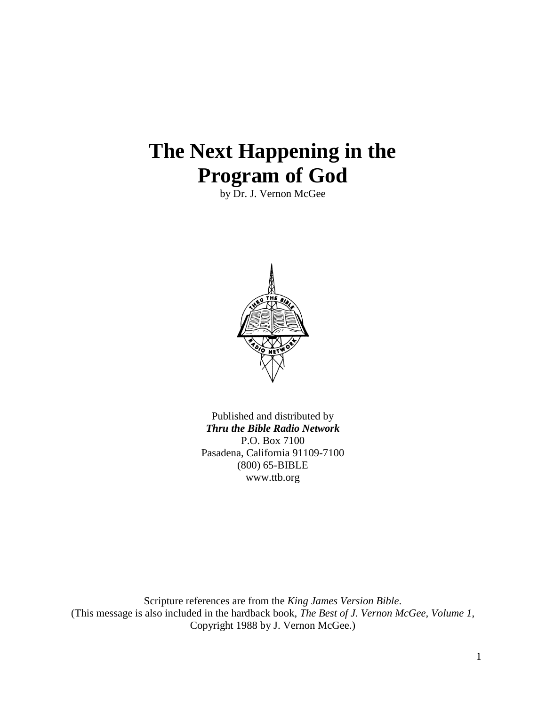# **The Next Happening in the Program of God**

by Dr. J. Vernon McGee



Published and distributed by *Thru the Bible Radio Network* P.O. Box 7100 Pasadena, California 91109-7100 (800) 65-BIBLE www.ttb.org

Scripture references are from the *King James Version Bible*. (This message is also included in the hardback book, *The Best of J. Vernon McGee, Volume 1*, Copyright 1988 by J. Vernon McGee.)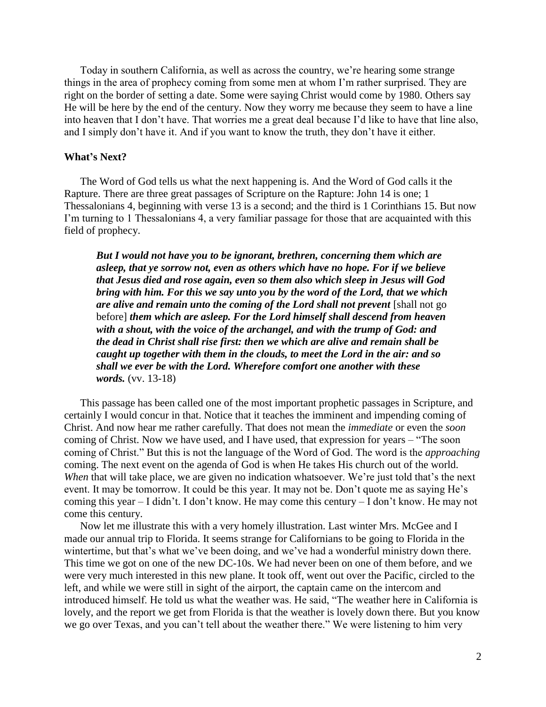Today in southern California, as well as across the country, we're hearing some strange things in the area of prophecy coming from some men at whom I'm rather surprised. They are right on the border of setting a date. Some were saying Christ would come by 1980. Others say He will be here by the end of the century. Now they worry me because they seem to have a line into heaven that I don't have. That worries me a great deal because I'd like to have that line also, and I simply don't have it. And if you want to know the truth, they don't have it either.

#### **What's Next?**

The Word of God tells us what the next happening is. And the Word of God calls it the Rapture. There are three great passages of Scripture on the Rapture: John 14 is one; 1 Thessalonians 4, beginning with verse 13 is a second; and the third is 1 Corinthians 15. But now I'm turning to 1 Thessalonians 4, a very familiar passage for those that are acquainted with this field of prophecy.

*But I would not have you to be ignorant, brethren, concerning them which are asleep, that ye sorrow not, even as others which have no hope. For if we believe that Jesus died and rose again, even so them also which sleep in Jesus will God bring with him. For this we say unto you by the word of the Lord, that we which are alive and remain unto the coming of the Lord shall not prevent* [shall not go before] *them which are asleep. For the Lord himself shall descend from heaven with a shout, with the voice of the archangel, and with the trump of God: and the dead in Christ shall rise first: then we which are alive and remain shall be caught up together with them in the clouds, to meet the Lord in the air: and so shall we ever be with the Lord. Wherefore comfort one another with these words.* (vv. 13-18)

This passage has been called one of the most important prophetic passages in Scripture, and certainly I would concur in that. Notice that it teaches the imminent and impending coming of Christ. And now hear me rather carefully. That does not mean the *immediate* or even the *soon* coming of Christ. Now we have used, and I have used, that expression for years – "The soon coming of Christ.‖ But this is not the language of the Word of God. The word is the *approaching* coming. The next event on the agenda of God is when He takes His church out of the world. *When* that will take place, we are given no indication whatsoever. We're just told that's the next event. It may be tomorrow. It could be this year. It may not be. Don't quote me as saying He's coming this year – I didn't. I don't know. He may come this century – I don't know. He may not come this century.

Now let me illustrate this with a very homely illustration. Last winter Mrs. McGee and I made our annual trip to Florida. It seems strange for Californians to be going to Florida in the wintertime, but that's what we've been doing, and we've had a wonderful ministry down there. This time we got on one of the new DC-10s. We had never been on one of them before, and we were very much interested in this new plane. It took off, went out over the Pacific, circled to the left, and while we were still in sight of the airport, the captain came on the intercom and introduced himself. He told us what the weather was. He said, "The weather here in California is lovely, and the report we get from Florida is that the weather is lovely down there. But you know we go over Texas, and you can't tell about the weather there." We were listening to him very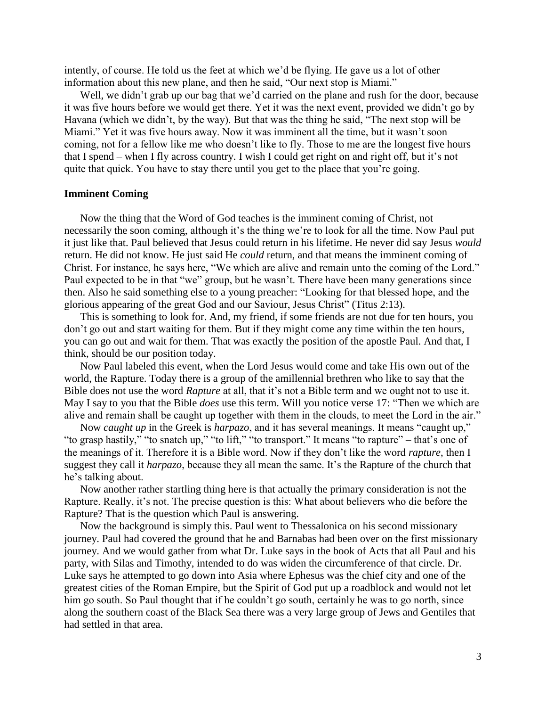intently, of course. He told us the feet at which we'd be flying. He gave us a lot of other information about this new plane, and then he said, "Our next stop is Miami."

Well, we didn't grab up our bag that we'd carried on the plane and rush for the door, because it was five hours before we would get there. Yet it was the next event, provided we didn't go by Havana (which we didn't, by the way). But that was the thing he said, "The next stop will be Miami." Yet it was five hours away. Now it was imminent all the time, but it wasn't soon coming, not for a fellow like me who doesn't like to fly. Those to me are the longest five hours that I spend – when I fly across country. I wish I could get right on and right off, but it's not quite that quick. You have to stay there until you get to the place that you're going.

## **Imminent Coming**

Now the thing that the Word of God teaches is the imminent coming of Christ, not necessarily the soon coming, although it's the thing we're to look for all the time. Now Paul put it just like that. Paul believed that Jesus could return in his lifetime. He never did say Jesus *would* return. He did not know. He just said He *could* return, and that means the imminent coming of Christ. For instance, he says here, "We which are alive and remain unto the coming of the Lord." Paul expected to be in that "we" group, but he wasn't. There have been many generations since then. Also he said something else to a young preacher: "Looking for that blessed hope, and the glorious appearing of the great God and our Saviour, Jesus Christ" (Titus 2:13).

This is something to look for. And, my friend, if some friends are not due for ten hours, you don't go out and start waiting for them. But if they might come any time within the ten hours, you can go out and wait for them. That was exactly the position of the apostle Paul. And that, I think, should be our position today.

Now Paul labeled this event, when the Lord Jesus would come and take His own out of the world, the Rapture. Today there is a group of the amillennial brethren who like to say that the Bible does not use the word *Rapture* at all, that it's not a Bible term and we ought not to use it. May I say to you that the Bible *does* use this term. Will you notice verse 17: "Then we which are alive and remain shall be caught up together with them in the clouds, to meet the Lord in the air."

Now *caught up* in the Greek is *harpazo*, and it has several meanings. It means "caught up," "to grasp hastily," "to snatch up," "to lift," "to transport." It means "to rapture" – that's one of the meanings of it. Therefore it is a Bible word. Now if they don't like the word *rapture*, then I suggest they call it *harpazo*, because they all mean the same. It's the Rapture of the church that he's talking about.

Now another rather startling thing here is that actually the primary consideration is not the Rapture. Really, it's not. The precise question is this: What about believers who die before the Rapture? That is the question which Paul is answering.

Now the background is simply this. Paul went to Thessalonica on his second missionary journey. Paul had covered the ground that he and Barnabas had been over on the first missionary journey. And we would gather from what Dr. Luke says in the book of Acts that all Paul and his party, with Silas and Timothy, intended to do was widen the circumference of that circle. Dr. Luke says he attempted to go down into Asia where Ephesus was the chief city and one of the greatest cities of the Roman Empire, but the Spirit of God put up a roadblock and would not let him go south. So Paul thought that if he couldn't go south, certainly he was to go north, since along the southern coast of the Black Sea there was a very large group of Jews and Gentiles that had settled in that area.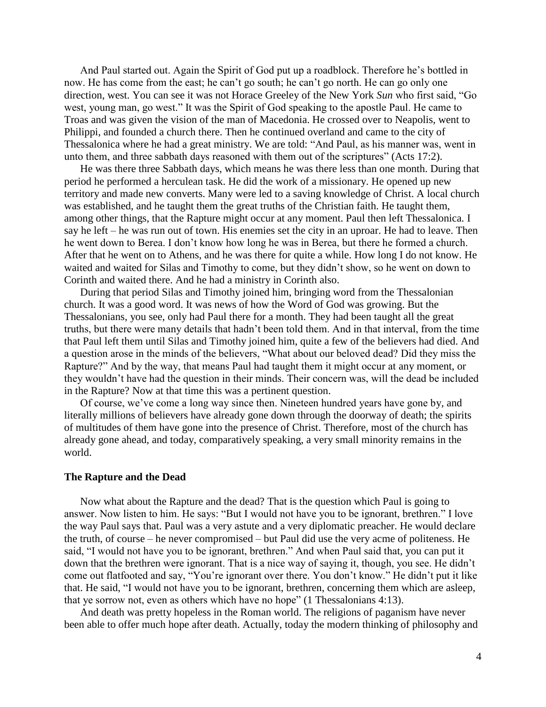And Paul started out. Again the Spirit of God put up a roadblock. Therefore he's bottled in now. He has come from the east; he can't go south; he can't go north. He can go only one direction, west. You can see it was not Horace Greeley of the New York *Sun* who first said, "Go west, young man, go west." It was the Spirit of God speaking to the apostle Paul. He came to Troas and was given the vision of the man of Macedonia. He crossed over to Neapolis, went to Philippi, and founded a church there. Then he continued overland and came to the city of Thessalonica where he had a great ministry. We are told: "And Paul, as his manner was, went in unto them, and three sabbath days reasoned with them out of the scriptures" (Acts 17:2).

He was there three Sabbath days, which means he was there less than one month. During that period he performed a herculean task. He did the work of a missionary. He opened up new territory and made new converts. Many were led to a saving knowledge of Christ. A local church was established, and he taught them the great truths of the Christian faith. He taught them, among other things, that the Rapture might occur at any moment. Paul then left Thessalonica. I say he left – he was run out of town. His enemies set the city in an uproar. He had to leave. Then he went down to Berea. I don't know how long he was in Berea, but there he formed a church. After that he went on to Athens, and he was there for quite a while. How long I do not know. He waited and waited for Silas and Timothy to come, but they didn't show, so he went on down to Corinth and waited there. And he had a ministry in Corinth also.

During that period Silas and Timothy joined him, bringing word from the Thessalonian church. It was a good word. It was news of how the Word of God was growing. But the Thessalonians, you see, only had Paul there for a month. They had been taught all the great truths, but there were many details that hadn't been told them. And in that interval, from the time that Paul left them until Silas and Timothy joined him, quite a few of the believers had died. And a question arose in the minds of the believers, "What about our beloved dead? Did they miss the Rapture?" And by the way, that means Paul had taught them it might occur at any moment, or they wouldn't have had the question in their minds. Their concern was, will the dead be included in the Rapture? Now at that time this was a pertinent question.

Of course, we've come a long way since then. Nineteen hundred years have gone by, and literally millions of believers have already gone down through the doorway of death; the spirits of multitudes of them have gone into the presence of Christ. Therefore, most of the church has already gone ahead, and today, comparatively speaking, a very small minority remains in the world.

### **The Rapture and the Dead**

Now what about the Rapture and the dead? That is the question which Paul is going to answer. Now listen to him. He says: "But I would not have you to be ignorant, brethren." I love the way Paul says that. Paul was a very astute and a very diplomatic preacher. He would declare the truth, of course – he never compromised – but Paul did use the very acme of politeness. He said, "I would not have you to be ignorant, brethren." And when Paul said that, you can put it down that the brethren were ignorant. That is a nice way of saying it, though, you see. He didn't come out flatfooted and say, "You're ignorant over there. You don't know." He didn't put it like that. He said, "I would not have you to be ignorant, brethren, concerning them which are asleep, that ye sorrow not, even as others which have no hope"  $(1$  Thessalonians 4:13).

And death was pretty hopeless in the Roman world. The religions of paganism have never been able to offer much hope after death. Actually, today the modern thinking of philosophy and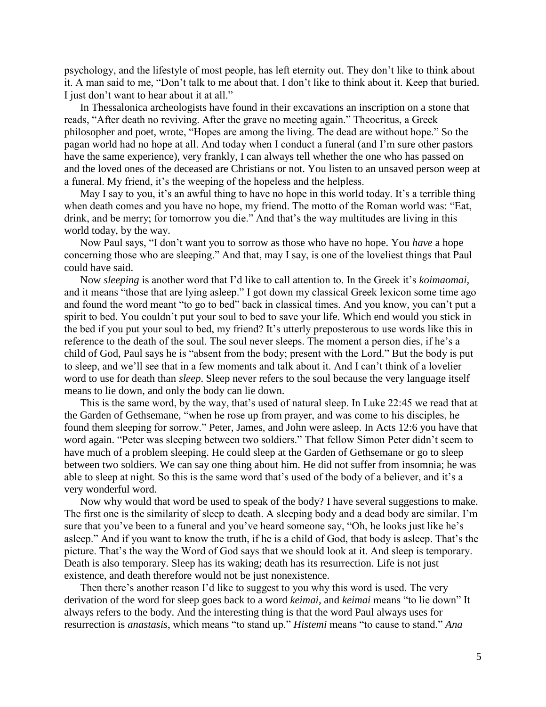psychology, and the lifestyle of most people, has left eternity out. They don't like to think about it. A man said to me, "Don't talk to me about that. I don't like to think about it. Keep that buried. I just don't want to hear about it at all."

In Thessalonica archeologists have found in their excavations an inscription on a stone that reads, "After death no reviving. After the grave no meeting again." Theocritus, a Greek philosopher and poet, wrote, "Hopes are among the living. The dead are without hope." So the pagan world had no hope at all. And today when I conduct a funeral (and I'm sure other pastors have the same experience), very frankly, I can always tell whether the one who has passed on and the loved ones of the deceased are Christians or not. You listen to an unsaved person weep at a funeral. My friend, it's the weeping of the hopeless and the helpless.

May I say to you, it's an awful thing to have no hope in this world today. It's a terrible thing when death comes and you have no hope, my friend. The motto of the Roman world was: "Eat, drink, and be merry; for tomorrow you die." And that's the way multitudes are living in this world today, by the way.

Now Paul says, "I don't want you to sorrow as those who have no hope. You *have* a hope concerning those who are sleeping." And that, may I say, is one of the loveliest things that Paul could have said.

Now *sleeping* is another word that I'd like to call attention to. In the Greek it's *koimaomai*, and it means "those that are lying asleep." I got down my classical Greek lexicon some time ago and found the word meant "to go to bed" back in classical times. And you know, you can't put a spirit to bed. You couldn't put your soul to bed to save your life. Which end would you stick in the bed if you put your soul to bed, my friend? It's utterly preposterous to use words like this in reference to the death of the soul. The soul never sleeps. The moment a person dies, if he's a child of God, Paul says he is "absent from the body; present with the Lord." But the body is put to sleep, and we'll see that in a few moments and talk about it. And I can't think of a lovelier word to use for death than *sleep*. Sleep never refers to the soul because the very language itself means to lie down, and only the body can lie down.

This is the same word, by the way, that's used of natural sleep. In Luke 22:45 we read that at the Garden of Gethsemane, "when he rose up from prayer, and was come to his disciples, he found them sleeping for sorrow." Peter, James, and John were asleep. In Acts 12:6 you have that word again. "Peter was sleeping between two soldiers." That fellow Simon Peter didn't seem to have much of a problem sleeping. He could sleep at the Garden of Gethsemane or go to sleep between two soldiers. We can say one thing about him. He did not suffer from insomnia; he was able to sleep at night. So this is the same word that's used of the body of a believer, and it's a very wonderful word.

Now why would that word be used to speak of the body? I have several suggestions to make. The first one is the similarity of sleep to death. A sleeping body and a dead body are similar. I'm sure that you've been to a funeral and you've heard someone say, "Oh, he looks just like he's asleep." And if you want to know the truth, if he is a child of God, that body is asleep. That's the picture. That's the way the Word of God says that we should look at it. And sleep is temporary. Death is also temporary. Sleep has its waking; death has its resurrection. Life is not just existence, and death therefore would not be just nonexistence.

Then there's another reason I'd like to suggest to you why this word is used. The very derivation of the word for sleep goes back to a word *keimai*, and *keimai* means "to lie down" It always refers to the body. And the interesting thing is that the word Paul always uses for resurrection is *anastasis*, which means "to stand up." *Histemi* means "to cause to stand." *Ana*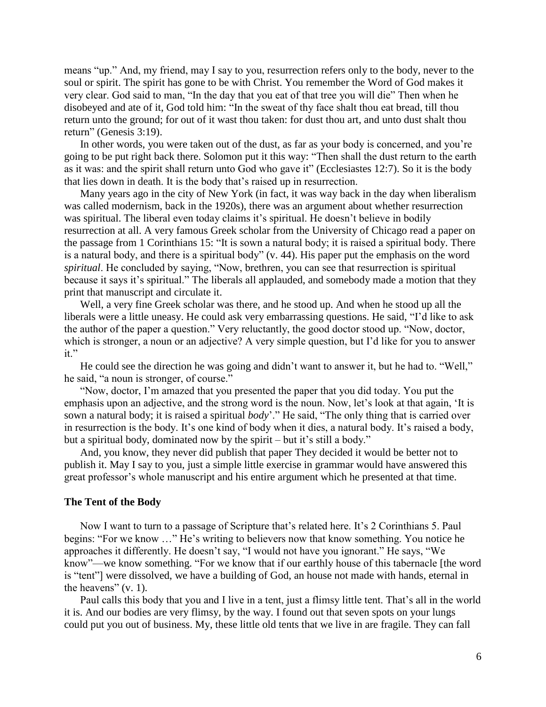means "up." And, my friend, may I say to you, resurrection refers only to the body, never to the soul or spirit. The spirit has gone to be with Christ. You remember the Word of God makes it very clear. God said to man, "In the day that you eat of that tree you will die" Then when he disobeyed and ate of it, God told him: "In the sweat of thy face shalt thou eat bread, till thou return unto the ground; for out of it wast thou taken: for dust thou art, and unto dust shalt thou return" (Genesis 3:19).

In other words, you were taken out of the dust, as far as your body is concerned, and you're going to be put right back there. Solomon put it this way: "Then shall the dust return to the earth as it was: and the spirit shall return unto God who gave it" (Ecclesiastes 12:7). So it is the body that lies down in death. It is the body that's raised up in resurrection.

Many years ago in the city of New York (in fact, it was way back in the day when liberalism was called modernism, back in the 1920s), there was an argument about whether resurrection was spiritual. The liberal even today claims it's spiritual. He doesn't believe in bodily resurrection at all. A very famous Greek scholar from the University of Chicago read a paper on the passage from 1 Corinthians 15: "It is sown a natural body; it is raised a spiritual body. There is a natural body, and there is a spiritual body"  $(v. 44)$ . His paper put the emphasis on the word *spiritual*. He concluded by saying, "Now, brethren, you can see that resurrection is spiritual because it says it's spiritual." The liberals all applauded, and somebody made a motion that they print that manuscript and circulate it.

Well, a very fine Greek scholar was there, and he stood up. And when he stood up all the liberals were a little uneasy. He could ask very embarrassing questions. He said, "I'd like to ask the author of the paper a question." Very reluctantly, the good doctor stood up. "Now, doctor, which is stronger, a noun or an adjective? A very simple question, but I'd like for you to answer  $it$ ."

He could see the direction he was going and didn't want to answer it, but he had to. "Well," he said, "a noun is stronger, of course."

"Now, doctor, I'm amazed that you presented the paper that you did today. You put the emphasis upon an adjective, and the strong word is the noun. Now, let's look at that again, 'It is sown a natural body; it is raised a spiritual *body*'." He said, "The only thing that is carried over in resurrection is the body. It's one kind of body when it dies, a natural body. It's raised a body, but a spiritual body, dominated now by the spirit – but it's still a body."

And, you know, they never did publish that paper They decided it would be better not to publish it. May I say to you, just a simple little exercise in grammar would have answered this great professor's whole manuscript and his entire argument which he presented at that time.

## **The Tent of the Body**

Now I want to turn to a passage of Scripture that's related here. It's 2 Corinthians 5. Paul begins: "For we know ..." He's writing to believers now that know something. You notice he approaches it differently. He doesn't say, "I would not have you ignorant." He says, "We know"—we know something. "For we know that if our earthly house of this tabernacle [the word is "tent"] were dissolved, we have a building of God, an house not made with hands, eternal in the heavens"  $(v, 1)$ .

Paul calls this body that you and I live in a tent, just a flimsy little tent. That's all in the world it is. And our bodies are very flimsy, by the way. I found out that seven spots on your lungs could put you out of business. My, these little old tents that we live in are fragile. They can fall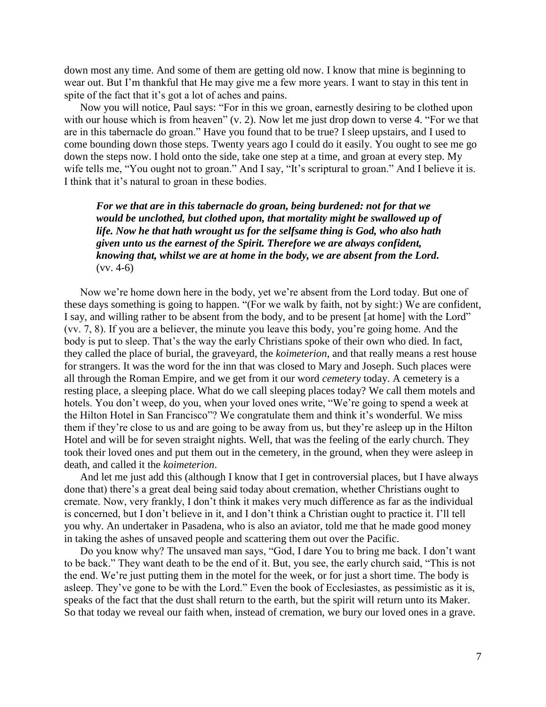down most any time. And some of them are getting old now. I know that mine is beginning to wear out. But I'm thankful that He may give me a few more years. I want to stay in this tent in spite of the fact that it's got a lot of aches and pains.

Now you will notice, Paul says: "For in this we groan, earnestly desiring to be clothed upon with our house which is from heaven"  $(v, 2)$ . Now let me just drop down to verse 4. "For we that are in this tabernacle do groan." Have you found that to be true? I sleep upstairs, and I used to come bounding down those steps. Twenty years ago I could do it easily. You ought to see me go down the steps now. I hold onto the side, take one step at a time, and groan at every step. My wife tells me, "You ought not to groan." And I say, "It's scriptural to groan." And I believe it is. I think that it's natural to groan in these bodies.

*For we that are in this tabernacle do groan, being burdened: not for that we would be unclothed, but clothed upon, that mortality might be swallowed up of life. Now he that hath wrought us for the selfsame thing is God, who also hath given unto us the earnest of the Spirit. Therefore we are always confident, knowing that, whilst we are at home in the body, we are absent from the Lord.*  (vv. 4-6)

Now we're home down here in the body, yet we're absent from the Lord today. But one of these days something is going to happen. "(For we walk by faith, not by sight:) We are confident, I say, and willing rather to be absent from the body, and to be present [at home] with the Lord" (vv. 7, 8). If you are a believer, the minute you leave this body, you're going home. And the body is put to sleep. That's the way the early Christians spoke of their own who died. In fact, they called the place of burial, the graveyard, the *koimeterion*, and that really means a rest house for strangers. It was the word for the inn that was closed to Mary and Joseph. Such places were all through the Roman Empire, and we get from it our word *cemetery* today. A cemetery is a resting place, a sleeping place. What do we call sleeping places today? We call them motels and hotels. You don't weep, do you, when your loved ones write, "We're going to spend a week at the Hilton Hotel in San Francisco"? We congratulate them and think it's wonderful. We miss them if they're close to us and are going to be away from us, but they're asleep up in the Hilton Hotel and will be for seven straight nights. Well, that was the feeling of the early church. They took their loved ones and put them out in the cemetery, in the ground, when they were asleep in death, and called it the *koimeterion*.

And let me just add this (although I know that I get in controversial places, but I have always done that) there's a great deal being said today about cremation, whether Christians ought to cremate. Now, very frankly, I don't think it makes very much difference as far as the individual is concerned, but I don't believe in it, and I don't think a Christian ought to practice it. I'll tell you why. An undertaker in Pasadena, who is also an aviator, told me that he made good money in taking the ashes of unsaved people and scattering them out over the Pacific.

Do you know why? The unsaved man says, "God, I dare You to bring me back. I don't want to be back." They want death to be the end of it. But, you see, the early church said, "This is not the end. We're just putting them in the motel for the week, or for just a short time. The body is asleep. They've gone to be with the Lord." Even the book of Ecclesiastes, as pessimistic as it is, speaks of the fact that the dust shall return to the earth, but the spirit will return unto its Maker. So that today we reveal our faith when, instead of cremation, we bury our loved ones in a grave.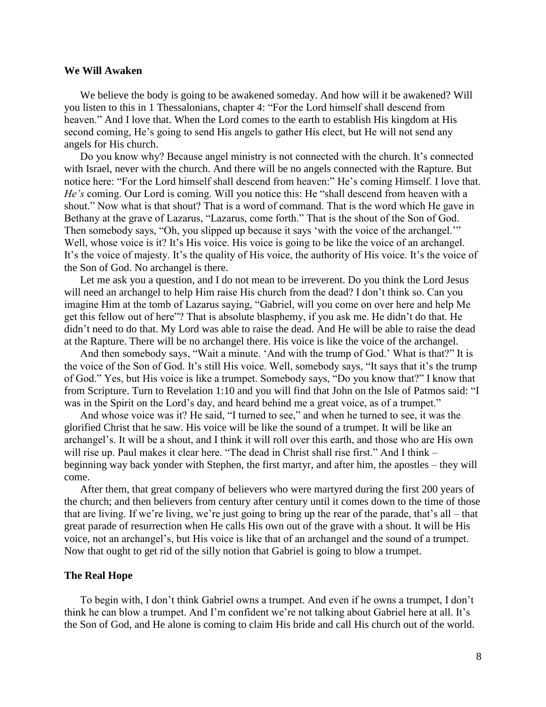## **We Will Awaken**

We believe the body is going to be awakened someday. And how will it be awakened? Will you listen to this in 1 Thessalonians, chapter 4: "For the Lord himself shall descend from heaven." And I love that. When the Lord comes to the earth to establish His kingdom at His second coming, He's going to send His angels to gather His elect, but He will not send any angels for His church.

Do you know why? Because angel ministry is not connected with the church. It's connected with Israel, never with the church. And there will be no angels connected with the Rapture. But notice here: "For the Lord himself shall descend from heaven:" He's coming Himself. I love that. *He's* coming. Our Lord is coming. Will you notice this: He "shall descend from heaven with a shout." Now what is that shout? That is a word of command. That is the word which He gave in Bethany at the grave of Lazarus, "Lazarus, come forth." That is the shout of the Son of God. Then somebody says, "Oh, you slipped up because it says 'with the voice of the archangel.'" Well, whose voice is it? It's His voice. His voice is going to be like the voice of an archangel. It's the voice of majesty. It's the quality of His voice, the authority of His voice. It's the voice of the Son of God. No archangel is there.

Let me ask you a question, and I do not mean to be irreverent. Do you think the Lord Jesus will need an archangel to help Him raise His church from the dead? I don't think so. Can you imagine Him at the tomb of Lazarus saying, "Gabriel, will you come on over here and help Me get this fellow out of here"? That is absolute blasphemy, if you ask me. He didn't do that. He didn't need to do that. My Lord was able to raise the dead. And He will be able to raise the dead at the Rapture. There will be no archangel there. His voice is like the voice of the archangel.

And then somebody says, "Wait a minute. 'And with the trump of God.' What is that?" It is the voice of the Son of God. It's still His voice. Well, somebody says, "It says that it's the trump of God." Yes, but His voice is like a trumpet. Somebody says, "Do you know that?" I know that from Scripture. Turn to Revelation 1:10 and you will find that John on the Isle of Patmos said: "I was in the Spirit on the Lord's day, and heard behind me a great voice, as of a trumpet."

And whose voice was it? He said, "I turned to see," and when he turned to see, it was the glorified Christ that he saw. His voice will be like the sound of a trumpet. It will be like an archangel's. It will be a shout, and I think it will roll over this earth, and those who are His own will rise up. Paul makes it clear here. "The dead in Christ shall rise first." And I think – beginning way back yonder with Stephen, the first martyr, and after him, the apostles – they will come.

After them, that great company of believers who were martyred during the first 200 years of the church; and then believers from century after century until it comes down to the time of those that are living. If we're living, we're just going to bring up the rear of the parade, that's all – that great parade of resurrection when He calls His own out of the grave with a shout. It will be His voice, not an archangel's, but His voice is like that of an archangel and the sound of a trumpet. Now that ought to get rid of the silly notion that Gabriel is going to blow a trumpet.

## **The Real Hope**

To begin with, I don't think Gabriel owns a trumpet. And even if he owns a trumpet, I don't think he can blow a trumpet. And I'm confident we're not talking about Gabriel here at all. It's the Son of God, and He alone is coming to claim His bride and call His church out of the world.